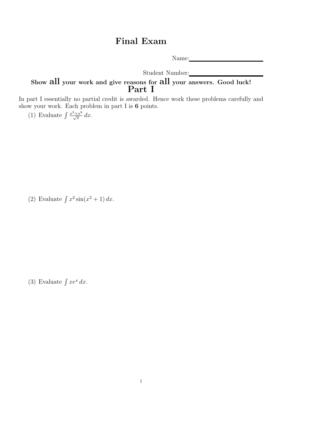## Final Exam

Name:

Student Number:

## Show all your work and give reasons for all your answers. Good luck! Part I

In part I essentially no partial credit is awarded. Hence work these problems carefully and show your work. Each problem in part I is 6 points.

(1) Evaluate  $\int \frac{x^3+x^9}{\sqrt{x}} dx$ .

(2) Evaluate  $\int x^2 \sin(x^3 + 1) dx$ .

(3) Evaluate  $\int xe^x dx$ .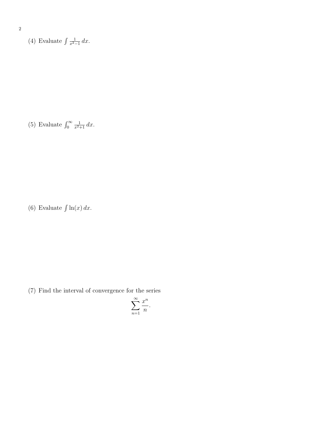(4) Evaluate  $\int \frac{1}{r^2}$  $rac{1}{x^2-1} dx$ .

(5) Evaluate  $\int_0^\infty$  $\frac{1}{x^2+1} dx$ .

(6) Evaluate  $\int \ln(x) dx$ .

(7) Find the interval of convergence for the series

$$
\sum_{n=1}^{\infty} \frac{x^n}{n}.
$$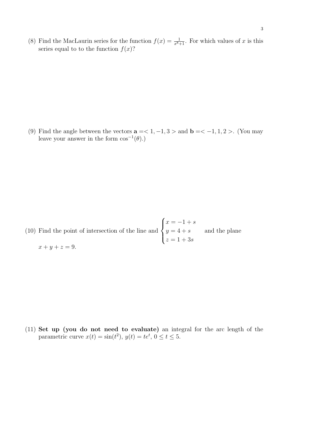(8) Find the MacLaurin series for the function  $f(x) = \frac{1}{x^8+1}$ . For which values of x is this series equal to to the function  $f(x)$ ?

(9) Find the angle between the vectors  $\mathbf{a} = 1, -1, 3 >$  and  $\mathbf{b} = 1, 1, 2 >$ . (You may leave your answer in the form  $\cos^{-1}(\theta)$ .)

(10) Find the point of intersection of the line and  $\sqrt{ }$  $\int$  $\overline{\mathcal{L}}$  $x = -1 + s$  $y=4+s$  $z = 1 + 3s$ and the plane  $x + y + z = 9.$ 

(11) Set up (you do not need to evaluate) an integral for the arc length of the parametric curve  $x(t) = \sin(t^2)$ ,  $y(t) = te^t$ ,  $0 \le t \le 5$ .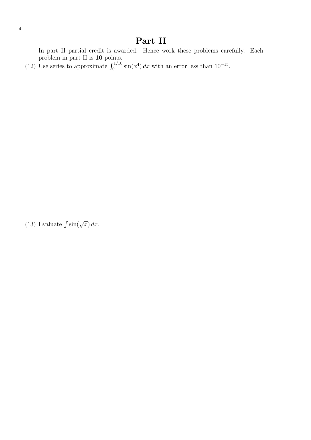## Part II

In part II partial credit is awarded. Hence work these problems carefully. Each problem in part II is 10 points.

(12) Use series to approximate  $\int_0^{1/10} \sin(x^4) dx$  with an error less than 10<sup>-15</sup>.

(13) Evaluate  $\int \sin(\sqrt{x}) dx$ .